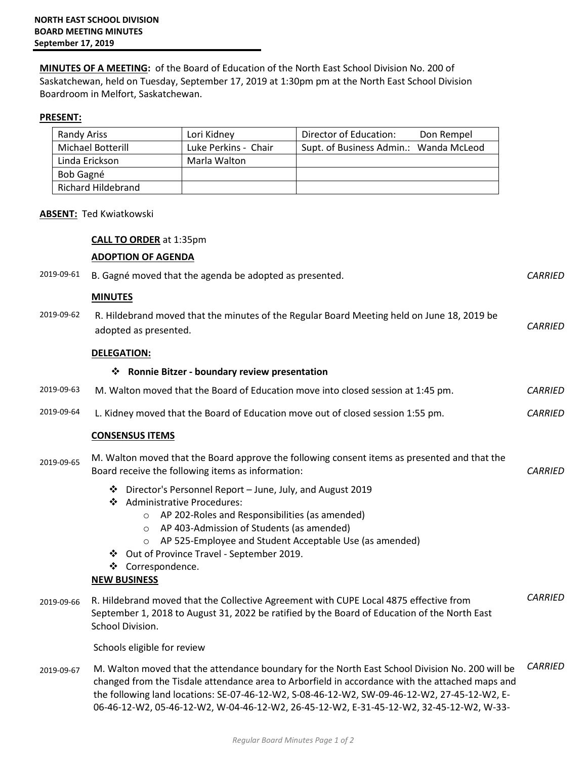**MINUTES OF A MEETING:** of the Board of Education of the North East School Division No. 200 of Saskatchewan, held on Tuesday, September 17, 2019 at 1:30pm pm at the North East School Division Boardroom in Melfort, Saskatchewan.

### **PRESENT:**

| Randy Ariss              | Lori Kidney          | Director of Education:<br>Don Rempel   |
|--------------------------|----------------------|----------------------------------------|
| <b>Michael Botterill</b> | Luke Perkins - Chair | Supt. of Business Admin.: Wanda McLeod |
| Linda Erickson           | Marla Walton         |                                        |
| Bob Gagné                |                      |                                        |
| Richard Hildebrand       |                      |                                        |

### **ABSENT:** Ted Kwiatkowski

### **CALL TO ORDER** at 1:35pm

|                                                          | <b>ADOPTION OF AGENDA</b>                                                                                                                                                                                                                                                                                                                                                       |                |  |
|----------------------------------------------------------|---------------------------------------------------------------------------------------------------------------------------------------------------------------------------------------------------------------------------------------------------------------------------------------------------------------------------------------------------------------------------------|----------------|--|
| 2019-09-61                                               | B. Gagné moved that the agenda be adopted as presented.                                                                                                                                                                                                                                                                                                                         | <b>CARRIED</b> |  |
|                                                          | <b>MINUTES</b>                                                                                                                                                                                                                                                                                                                                                                  |                |  |
| 2019-09-62                                               | R. Hildebrand moved that the minutes of the Regular Board Meeting held on June 18, 2019 be<br>adopted as presented.                                                                                                                                                                                                                                                             | <b>CARRIED</b> |  |
|                                                          | <b>DELEGATION:</b>                                                                                                                                                                                                                                                                                                                                                              |                |  |
| <b>Ronnie Bitzer - boundary review presentation</b><br>❖ |                                                                                                                                                                                                                                                                                                                                                                                 |                |  |
| 2019-09-63                                               | M. Walton moved that the Board of Education move into closed session at 1:45 pm.                                                                                                                                                                                                                                                                                                | <b>CARRIED</b> |  |
| 2019-09-64                                               | L. Kidney moved that the Board of Education move out of closed session 1:55 pm.                                                                                                                                                                                                                                                                                                 | <b>CARRIED</b> |  |
|                                                          | <b>CONSENSUS ITEMS</b>                                                                                                                                                                                                                                                                                                                                                          |                |  |
| 2019-09-65                                               | M. Walton moved that the Board approve the following consent items as presented and that the<br>Board receive the following items as information:                                                                                                                                                                                                                               | <b>CARRIED</b> |  |
|                                                          | ❖ Director's Personnel Report - June, July, and August 2019<br><b>Administrative Procedures:</b><br>❖<br>AP 202-Roles and Responsibilities (as amended)<br>$\circ$<br>AP 403-Admission of Students (as amended)<br>$\circ$<br>AP 525-Employee and Student Acceptable Use (as amended)<br>❖ Out of Province Travel - September 2019.<br>❖ Correspondence.<br><b>NEW BUSINESS</b> |                |  |
| 2019-09-66                                               | R. Hildebrand moved that the Collective Agreement with CUPE Local 4875 effective from<br>September 1, 2018 to August 31, 2022 be ratified by the Board of Education of the North East<br>School Division.                                                                                                                                                                       | <b>CARRIED</b> |  |
|                                                          | Schools eligible for review                                                                                                                                                                                                                                                                                                                                                     |                |  |
| 2019-09-67                                               | M. Walton moved that the attendance boundary for the North East School Division No. 200 will be<br>$\frac{1}{2}$ . The contract of the contract of the contract of the contract of the contract of the contract of the contract of the contract of the contract of the contract of the contract of the contract of the contract of t                                            | <b>CARRIED</b> |  |

changed from the Tisdale attendance area to Arborfield in accordance with the attached maps and the following land locations: SE-07-46-12-W2, S-08-46-12-W2, SW-09-46-12-W2, 27-45-12-W2, E-06-46-12-W2, 05-46-12-W2, W-04-46-12-W2, 26-45-12-W2, E-31-45-12-W2, 32-45-12-W2, W-33